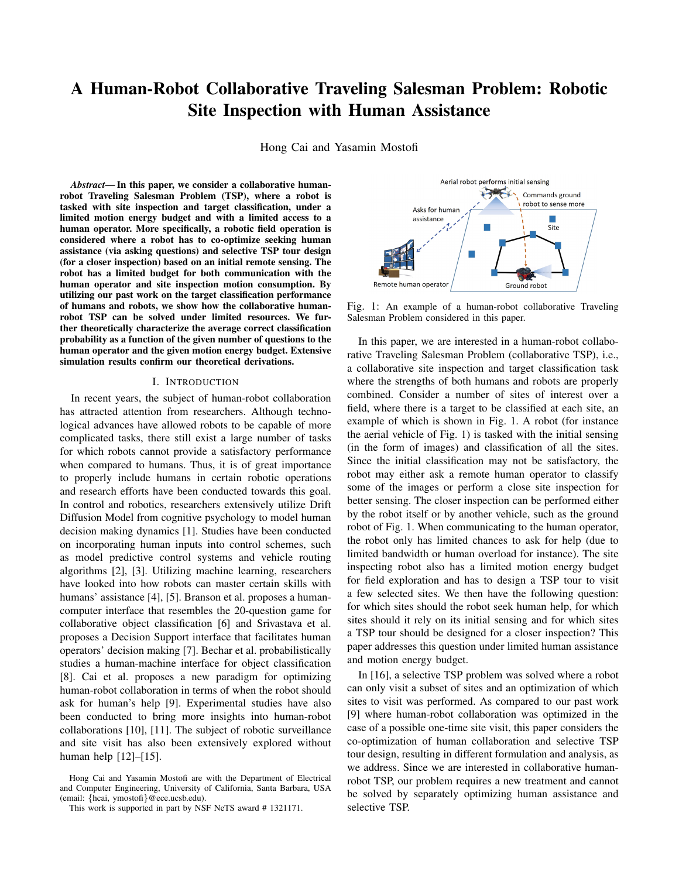# A Human-Robot Collaborative Traveling Salesman Problem: Robotic **Site Inspection with Human Assistance**

Hong Cai and Yasamin Mostofi

Abstract—In this paper, we consider a collaborative humanrobot Traveling Salesman Problem (TSP), where a robot is tasked with site inspection and target classification, under a limited motion energy budget and with a limited access to a human operator. More specifically, a robotic field operation is considered where a robot has to co-optimize seeking human assistance (via asking questions) and selective TSP tour design (for a closer inspection) based on an initial remote sensing. The robot has a limited budget for both communication with the human operator and site inspection motion consumption. By utilizing our past work on the target classification performance of humans and robots, we show how the collaborative humanrobot TSP can be solved under limited resources. We further theoretically characterize the average correct classification probability as a function of the given number of questions to the human operator and the given motion energy budget. Extensive simulation results confirm our theoretical derivations.

#### I. INTRODUCTION

In recent years, the subject of human-robot collaboration has attracted attention from researchers. Although technological advances have allowed robots to be capable of more complicated tasks, there still exist a large number of tasks for which robots cannot provide a satisfactory performance when compared to humans. Thus, it is of great importance to properly include humans in certain robotic operations and research efforts have been conducted towards this goal. In control and robotics, researchers extensively utilize Drift Diffusion Model from cognitive psychology to model human decision making dynamics [1]. Studies have been conducted on incorporating human inputs into control schemes, such as model predictive control systems and vehicle routing algorithms [2], [3]. Utilizing machine learning, researchers have looked into how robots can master certain skills with humans' assistance [4], [5]. Branson et al. proposes a humancomputer interface that resembles the 20-question game for collaborative object classification [6] and Srivastava et al. proposes a Decision Support interface that facilitates human operators' decision making [7]. Bechar et al. probabilistically studies a human-machine interface for object classification [8]. Cai et al. proposes a new paradigm for optimizing human-robot collaboration in terms of when the robot should ask for human's help [9]. Experimental studies have also been conducted to bring more insights into human-robot collaborations [10], [11]. The subject of robotic surveillance and site visit has also been extensively explored without human help  $[12] - [15]$ .



Fig. 1: An example of a human-robot collaborative Traveling Salesman Problem considered in this paper.

In this paper, we are interested in a human-robot collaborative Traveling Salesman Problem (collaborative TSP), i.e., a collaborative site inspection and target classification task where the strengths of both humans and robots are properly combined. Consider a number of sites of interest over a field, where there is a target to be classified at each site, an example of which is shown in Fig. 1. A robot (for instance the aerial vehicle of Fig. 1) is tasked with the initial sensing (in the form of images) and classification of all the sites. Since the initial classification may not be satisfactory, the robot may either ask a remote human operator to classify some of the images or perform a close site inspection for better sensing. The closer inspection can be performed either by the robot itself or by another vehicle, such as the ground robot of Fig. 1. When communicating to the human operator, the robot only has limited chances to ask for help (due to limited bandwidth or human overload for instance). The site inspecting robot also has a limited motion energy budget for field exploration and has to design a TSP tour to visit a few selected sites. We then have the following question: for which sites should the robot seek human help, for which sites should it rely on its initial sensing and for which sites a TSP tour should be designed for a closer inspection? This paper addresses this question under limited human assistance and motion energy budget.

In [16], a selective TSP problem was solved where a robot can only visit a subset of sites and an optimization of which sites to visit was performed. As compared to our past work [9] where human-robot collaboration was optimized in the case of a possible one-time site visit, this paper considers the co-optimization of human collaboration and selective TSP tour design, resulting in different formulation and analysis, as we address. Since we are interested in collaborative humanrobot TSP, our problem requires a new treatment and cannot be solved by separately optimizing human assistance and selective TSP.

Hong Cai and Yasamin Mostofi are with the Department of Electrical and Computer Engineering, University of California, Santa Barbara, USA (email: {hcai, ymostofi}@ece.ucsb.edu).

This work is supported in part by NSF NeTS award #1321171.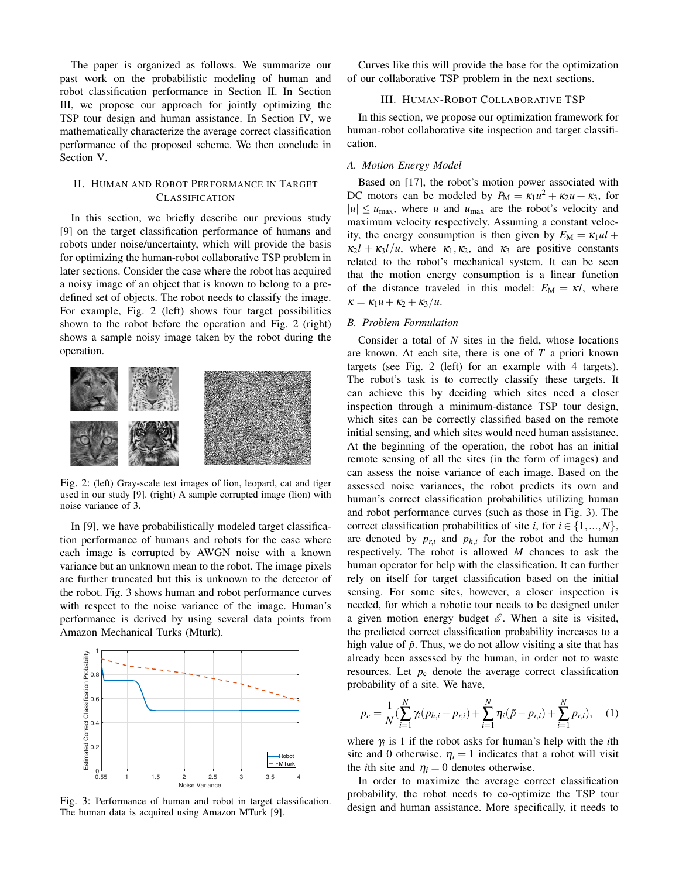The paper is organized as follows. We summarize our past work on the probabilistic modeling of human and robot classification performance in Section II. In Section III, we propose our approach for jointly optimizing the TSP tour design and human assistance. In Section IV, we mathematically characterize the average correct classification performance of the proposed scheme. We then conclude in Section V.

## II. HUMAN AND ROBOT PERFORMANCE IN TARGET **CLASSIFICATION**

In this section, we briefly describe our previous study [9] on the target classification performance of humans and robots under noise/uncertainty, which will provide the basis for optimizing the human-robot collaborative TSP problem in later sections. Consider the case where the robot has acquired a noisy image of an object that is known to belong to a predefined set of objects. The robot needs to classify the image. For example, Fig. 2 (left) shows four target possibilities shown to the robot before the operation and Fig. 2 (right) shows a sample noisy image taken by the robot during the operation.



Fig. 2: (left) Gray-scale test images of lion, leopard, cat and tiger used in our study [9]. (right) A sample corrupted image (lion) with noise variance of 3.

In [9], we have probabilistically modeled target classification performance of humans and robots for the case where each image is corrupted by AWGN noise with a known variance but an unknown mean to the robot. The image pixels are further truncated but this is unknown to the detector of the robot. Fig. 3 shows human and robot performance curves with respect to the noise variance of the image. Human's performance is derived by using several data points from Amazon Mechanical Turks (Mturk).



Fig. 3: Performance of human and robot in target classification. The human data is acquired using Amazon MTurk [9].

Curves like this will provide the base for the optimization of our collaborative TSP problem in the next sections.

## **III. HUMAN-ROBOT COLLABORATIVE TSP**

In this section, we propose our optimization framework for human-robot collaborative site inspection and target classification.

### A. Motion Energy Model

Based on [17], the robot's motion power associated with DC motors can be modeled by  $P_M = \kappa_1 u^2 + \kappa_2 u + \kappa_3$ , for  $|u| \leq u_{\text{max}}$ , where u and  $u_{\text{max}}$  are the robot's velocity and maximum velocity respectively. Assuming a constant velocity, the energy consumption is then given by  $E_M = \kappa_1 u l +$  $\kappa_2 l + \kappa_3 l/u$ , where  $\kappa_1, \kappa_2$ , and  $\kappa_3$  are positive constants related to the robot's mechanical system. It can be seen that the motion energy consumption is a linear function of the distance traveled in this model:  $E_M = \kappa l$ , where  $\kappa = \kappa_1 u + \kappa_2 + \kappa_3 / u.$ 

## **B.** Problem Formulation

Consider a total of  $N$  sites in the field, whose locations are known. At each site, there is one of  $T$  a priori known targets (see Fig. 2 (left) for an example with 4 targets). The robot's task is to correctly classify these targets. It can achieve this by deciding which sites need a closer inspection through a minimum-distance TSP tour design, which sites can be correctly classified based on the remote initial sensing, and which sites would need human assistance. At the beginning of the operation, the robot has an initial remote sensing of all the sites (in the form of images) and can assess the noise variance of each image. Based on the assessed noise variances, the robot predicts its own and human's correct classification probabilities utilizing human and robot performance curves (such as those in Fig. 3). The correct classification probabilities of site *i*, for  $i \in \{1, ..., N\}$ , are denoted by  $p_{r,i}$  and  $p_{h,i}$  for the robot and the human respectively. The robot is allowed  $M$  chances to ask the human operator for help with the classification. It can further rely on itself for target classification based on the initial sensing. For some sites, however, a closer inspection is needed, for which a robotic tour needs to be designed under a given motion energy budget  $\mathscr E$ . When a site is visited, the predicted correct classification probability increases to a high value of  $\tilde{p}$ . Thus, we do not allow visiting a site that has already been assessed by the human, in order not to waste resources. Let  $p_c$  denote the average correct classification probability of a site. We have,

$$
p_c = \frac{1}{N} \left( \sum_{i=1}^{N} \gamma_i (p_{h,i} - p_{r,i}) + \sum_{i=1}^{N} \eta_i (\tilde{p} - p_{r,i}) + \sum_{i=1}^{N} p_{r,i} \right), \quad (1)
$$

where  $\gamma$  is 1 if the robot asks for human's help with the *i*th site and 0 otherwise.  $\eta_i = 1$  indicates that a robot will visit the *i*th site and  $\eta_i = 0$  denotes otherwise.

In order to maximize the average correct classification probability, the robot needs to co-optimize the TSP tour design and human assistance. More specifically, it needs to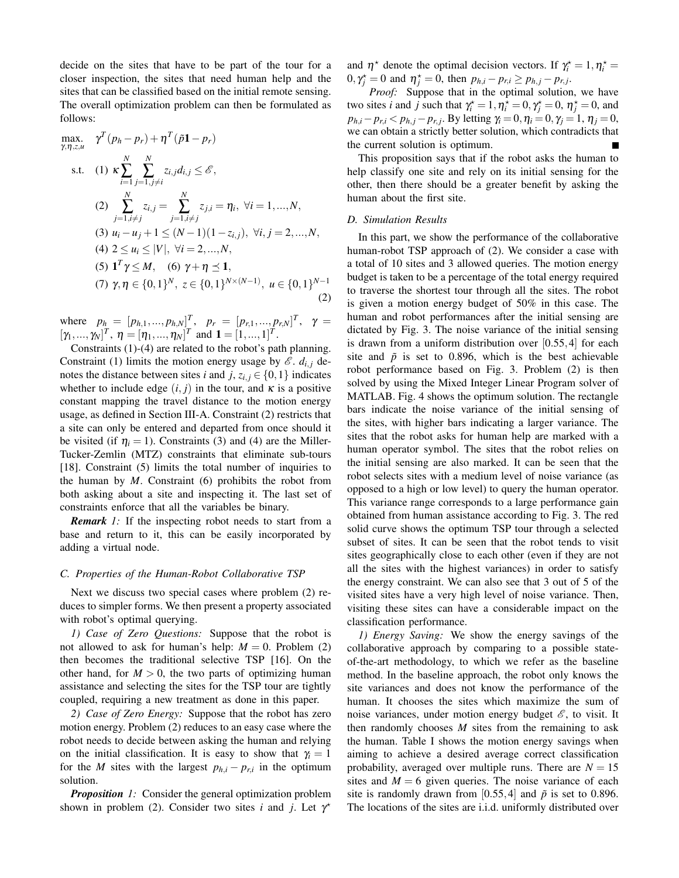decide on the sites that have to be part of the tour for a closer inspection, the sites that need human help and the sites that can be classified based on the initial remote sensing. The overall optimization problem can then be formulated as follows:

max. 
$$
\gamma^T(p_h - p_r) + \eta^T(\tilde{p}\mathbf{1} - p_r)
$$
  
\ns.t. (1)  $\kappa \sum_{i=1}^N \sum_{j=1, j\neq i}^N z_{i,j} d_{i,j} \leq \mathcal{E}$ ,  
\n(2)  $\sum_{j=1, i\neq j}^N z_{i,j} = \sum_{j=1, i\neq j}^N z_{j,i} = \eta_i, \forall i = 1, ..., N$ ,  
\n(3)  $u_i - u_j + 1 \leq (N-1)(1-z_{i,j}), \forall i, j = 2, ..., N$ ,  
\n(4)  $2 \leq u_i \leq |V|, \forall i = 2, ..., N$ ,  
\n(5)  $\mathbf{1}^T \gamma \leq M$ , (6)  $\gamma + \eta \leq \mathbf{1}$ ,  
\n(7)  $\gamma, \eta \in \{0, 1\}^N$ ,  $z \in \{0, 1\}^{N \times (N-1)}$ ,  $u \in \{0, 1\}^{N-1}$ 

where  $p_h = [p_{h,1},...,p_{h,N}]^T$ ,  $p_r = [p_{r,1},...,p_{r,N}]^T$ ,  $\gamma = [\gamma_1,...,\gamma_N]^T$ ,  $\gamma = [\gamma_1,...,\gamma_N]^T$  and  $\mathbf{1} = [1,...,1]^T$ .

Constraints  $(1)-(4)$  are related to the robot's path planning. Constraint (1) limits the motion energy usage by  $\mathscr{E}$ .  $d_{i,j}$  denotes the distance between sites *i* and *j*,  $z_{i,j} \in \{0,1\}$  indicates whether to include edge  $(i, j)$  in the tour, and  $\kappa$  is a positive constant mapping the travel distance to the motion energy usage, as defined in Section III-A. Constraint (2) restricts that a site can only be entered and departed from once should it be visited (if  $\eta_i = 1$ ). Constraints (3) and (4) are the Miller-Tucker-Zemlin (MTZ) constraints that eliminate sub-tours [18]. Constraint  $(5)$  limits the total number of inquiries to the human by  $M$ . Constraint (6) prohibits the robot from both asking about a site and inspecting it. The last set of constraints enforce that all the variables be binary.

**Remark** 1: If the inspecting robot needs to start from a base and return to it, this can be easily incorporated by adding a virtual node.

## C. Properties of the Human-Robot Collaborative TSP

Next we discuss two special cases where problem (2) reduces to simpler forms. We then present a property associated with robot's optimal querying.

1) Case of Zero Questions: Suppose that the robot is not allowed to ask for human's help:  $M = 0$ . Problem (2) then becomes the traditional selective TSP [16]. On the other hand, for  $M > 0$ , the two parts of optimizing human assistance and selecting the sites for the TSP tour are tightly coupled, requiring a new treatment as done in this paper.

2) Case of Zero Energy: Suppose that the robot has zero motion energy. Problem (2) reduces to an easy case where the robot needs to decide between asking the human and relying on the initial classification. It is easy to show that  $\gamma_i = 1$ for the M sites with the largest  $p_{h,i} - p_{r,i}$  in the optimum solution.

**Proposition** 1: Consider the general optimization problem shown in problem (2). Consider two sites i and j. Let  $\gamma^*$ 

and  $\eta^*$  denote the optimal decision vectors. If  $\gamma_i^* = 1, \eta_i^* =$  $0, \gamma_i^* = 0$  and  $\eta_i^* = 0$ , then  $p_{h,i} - p_{r,i} \geq p_{h,j} - p_{r,j}$ .

Proof: Suppose that in the optimal solution, we have two sites *i* and *j* such that  $\gamma_i^* = 1$ ,  $\eta_i^* = 0$ ,  $\gamma_i^* = 0$ ,  $\eta_i^* = 0$ , and  $p_{h,i} - p_{r,i} < p_{h,j} - p_{r,j}$ . By letting  $\gamma_i = 0$ ,  $\eta_i = 0$ ,  $\gamma_j = 1$ ,  $\eta_j = 0$ , we can obtain a strictly better solution, which contradicts that the current solution is optimum.

This proposition says that if the robot asks the human to help classify one site and rely on its initial sensing for the other, then there should be a greater benefit by asking the human about the first site.

### D. Simulation Results

In this part, we show the performance of the collaborative human-robot TSP approach of (2). We consider a case with a total of 10 sites and 3 allowed queries. The motion energy budget is taken to be a percentage of the total energy required to traverse the shortest tour through all the sites. The robot is given a motion energy budget of 50% in this case. The human and robot performances after the initial sensing are dictated by Fig. 3. The noise variance of the initial sensing is drawn from a uniform distribution over  $[0.55, 4]$  for each site and  $\tilde{p}$  is set to 0.896, which is the best achievable robot performance based on Fig. 3. Problem (2) is then solved by using the Mixed Integer Linear Program solver of MATLAB. Fig. 4 shows the optimum solution. The rectangle bars indicate the noise variance of the initial sensing of the sites, with higher bars indicating a larger variance. The sites that the robot asks for human help are marked with a human operator symbol. The sites that the robot relies on the initial sensing are also marked. It can be seen that the robot selects sites with a medium level of noise variance (as opposed to a high or low level) to query the human operator. This variance range corresponds to a large performance gain obtained from human assistance according to Fig. 3. The red solid curve shows the optimum TSP tour through a selected subset of sites. It can be seen that the robot tends to visit sites geographically close to each other (even if they are not all the sites with the highest variances) in order to satisfy the energy constraint. We can also see that 3 out of 5 of the visited sites have a very high level of noise variance. Then, visiting these sites can have a considerable impact on the classification performance.

1) Energy Saving: We show the energy savings of the collaborative approach by comparing to a possible stateof-the-art methodology, to which we refer as the baseline method. In the baseline approach, the robot only knows the site variances and does not know the performance of the human. It chooses the sites which maximize the sum of noise variances, under motion energy budget  $\mathscr{E}$ , to visit. It then randomly chooses  $M$  sites from the remaining to ask the human. Table I shows the motion energy savings when aiming to achieve a desired average correct classification probability, averaged over multiple runs. There are  $N = 15$ sites and  $M = 6$  given queries. The noise variance of each site is randomly drawn from [0.55,4] and  $\tilde{p}$  is set to 0.896. The locations of the sites are *i.i.d.* uniformly distributed over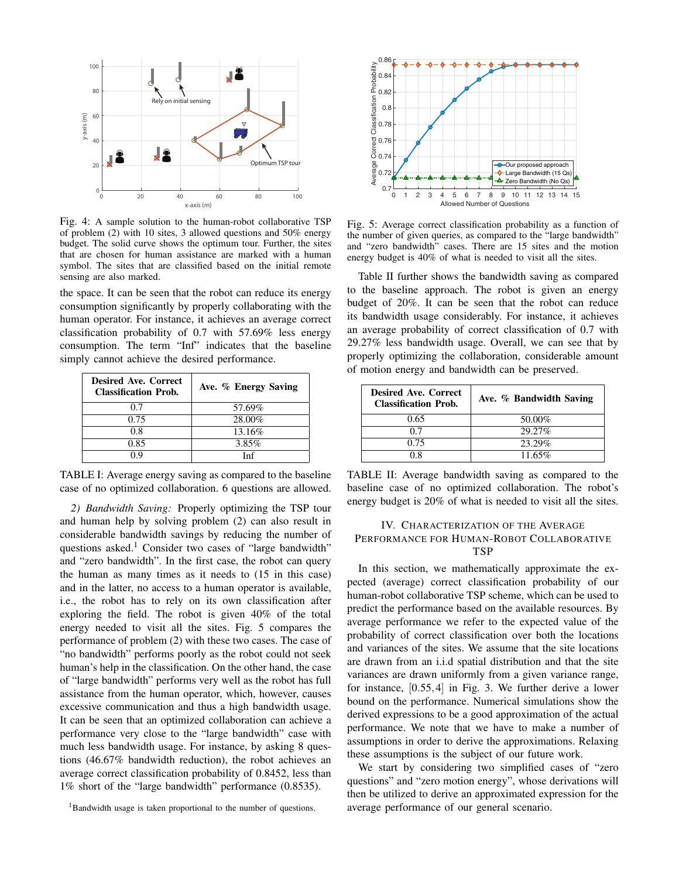

Fig. 4: A sample solution to the human-robot collaborative TSP of problem  $(2)$  with 10 sites, 3 allowed questions and 50% energy budget. The solid curve shows the optimum tour. Further, the sites that are chosen for human assistance are marked with a human symbol. The sites that are classified based on the initial remote sensing are also marked.

the space. It can be seen that the robot can reduce its energy consumption significantly by properly collaborating with the human operator. For instance, it achieves an average correct classification probability of 0.7 with 57.69% less energy consumption. The term "Inf" indicates that the baseline simply cannot achieve the desired performance.

| <b>Desired Ave. Correct</b><br><b>Classification Prob.</b> | Ave. % Energy Saving |
|------------------------------------------------------------|----------------------|
| 0.7                                                        | 57.69%               |
| 0.75                                                       | 28.00%               |
| 0.8                                                        | 13.16\%              |
| 0.85                                                       | 3.85%                |
| በ ዐ                                                        | Inf                  |

TABLE I: Average energy saving as compared to the baseline case of no optimized collaboration. 6 questions are allowed.

2) Bandwidth Saving: Properly optimizing the TSP tour and human help by solving problem (2) can also result in considerable bandwidth savings by reducing the number of questions asked.<sup>1</sup> Consider two cases of "large bandwidth" and "zero bandwidth". In the first case, the robot can query the human as many times as it needs to (15 in this case) and in the latter, no access to a human operator is available, i.e., the robot has to rely on its own classification after exploring the field. The robot is given 40% of the total energy needed to visit all the sites. Fig. 5 compares the performance of problem (2) with these two cases. The case of "no bandwidth" performs poorly as the robot could not seek human's help in the classification. On the other hand, the case of "large bandwidth" performs very well as the robot has full assistance from the human operator, which, however, causes excessive communication and thus a high bandwidth usage. It can be seen that an optimized collaboration can achieve a performance very close to the "large bandwidth" case with much less bandwidth usage. For instance, by asking 8 questions (46.67% bandwidth reduction), the robot achieves an average correct classification probability of 0.8452, less than 1% short of the "large bandwidth" performance (0.8535).



Fig. 5: Average correct classification probability as a function of the number of given queries, as compared to the "large bandwidth" and "zero bandwidth" cases. There are 15 sites and the motion energy budget is 40% of what is needed to visit all the sites.

Table II further shows the bandwidth saving as compared to the baseline approach. The robot is given an energy budget of 20%. It can be seen that the robot can reduce its bandwidth usage considerably. For instance, it achieves an average probability of correct classification of 0.7 with 29.27% less bandwidth usage. Overall, we can see that by properly optimizing the collaboration, considerable amount of motion energy and bandwidth can be preserved.

| <b>Desired Ave. Correct</b><br><b>Classification Prob.</b> | Ave. % Bandwidth Saving |
|------------------------------------------------------------|-------------------------|
| 0.65                                                       | 50.00%                  |
| 0.7                                                        | 29.27%                  |
| 0.75                                                       | 23.29%                  |
| 0 X                                                        | 11.65%                  |

TABLE II: Average bandwidth saving as compared to the baseline case of no optimized collaboration. The robot's energy budget is 20% of what is needed to visit all the sites.

## IV. CHARACTERIZATION OF THE AVERAGE PERFORMANCE FOR HUMAN-ROBOT COLLABORATIVE **TSP**

In this section, we mathematically approximate the expected (average) correct classification probability of our human-robot collaborative TSP scheme, which can be used to predict the performance based on the available resources. By average performance we refer to the expected value of the probability of correct classification over both the locations and variances of the sites. We assume that the site locations are drawn from an *i.i.d* spatial distribution and that the site variances are drawn uniformly from a given variance range, for instance,  $[0.55, 4]$  in Fig. 3. We further derive a lower bound on the performance. Numerical simulations show the derived expressions to be a good approximation of the actual performance. We note that we have to make a number of assumptions in order to derive the approximations. Relaxing these assumptions is the subject of our future work.

We start by considering two simplified cases of "zero questions" and "zero motion energy", whose derivations will then be utilized to derive an approximated expression for the average performance of our general scenario.

<sup>&</sup>lt;sup>1</sup>Bandwidth usage is taken proportional to the number of questions.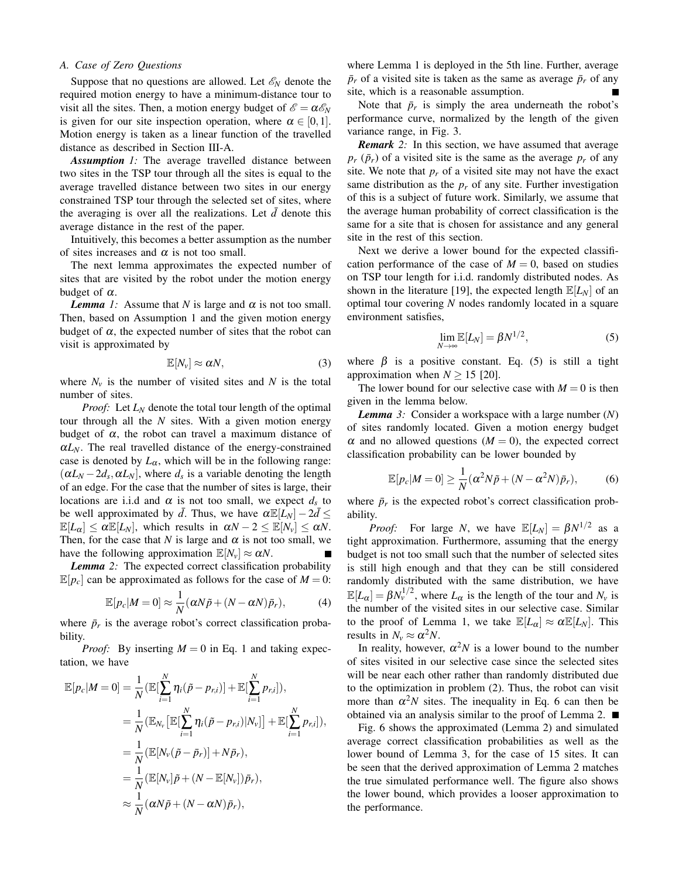## A. Case of Zero Questions

Suppose that no questions are allowed. Let  $\mathscr{E}_N$  denote the required motion energy to have a minimum-distance tour to visit all the sites. Then, a motion energy budget of  $\mathscr{E} = \alpha \mathscr{E}_N$ is given for our site inspection operation, where  $\alpha \in [0,1]$ . Motion energy is taken as a linear function of the travelled distance as described in Section III-A.

**Assumption** 1: The average travelled distance between two sites in the TSP tour through all the sites is equal to the average travelled distance between two sites in our energy constrained TSP tour through the selected set of sites, where the averaging is over all the realizations. Let  $\bar{d}$  denote this average distance in the rest of the paper.

Intuitively, this becomes a better assumption as the number of sites increases and  $\alpha$  is not too small.

The next lemma approximates the expected number of sites that are visited by the robot under the motion energy budget of  $\alpha$ .

**Lemma** 1: Assume that N is large and  $\alpha$  is not too small. Then, based on Assumption 1 and the given motion energy budget of  $\alpha$ , the expected number of sites that the robot can visit is approximated by

$$
\mathbb{E}[N_{\nu}] \approx \alpha N, \tag{3}
$$

where  $N_v$  is the number of visited sites and N is the total number of sites.

*Proof:* Let  $L_N$  denote the total tour length of the optimal tour through all the  $N$  sites. With a given motion energy budget of  $\alpha$ , the robot can travel a maximum distance of  $\alpha L_N$ . The real travelled distance of the energy-constrained case is denoted by  $L_{\alpha}$ , which will be in the following range:  $(\alpha L_N - 2d_s, \alpha L_N)$ , where  $d_s$  is a variable denoting the length of an edge. For the case that the number of sites is large, their locations are i.i.d and  $\alpha$  is not too small, we expect  $d_s$  to be well approximated by  $\bar{d}$ . Thus, we have  $\alpha \mathbb{E}[L_N] - 2\bar{d} \leq$  $\mathbb{E}[L_{\alpha}] \leq \alpha \mathbb{E}[L_N]$ , which results in  $\alpha N - 2 \leq \mathbb{E}[N_{\nu}] \leq \alpha N$ . Then, for the case that N is large and  $\alpha$  is not too small, we have the following approximation  $\mathbb{E}[N_v] \approx \alpha N$ .

**Lemma** 2: The expected correct classification probability  $\mathbb{E}[p_c]$  can be approximated as follows for the case of  $M = 0$ :

$$
\mathbb{E}[p_c|M=0] \approx \frac{1}{N} (\alpha N \tilde{p} + (N - \alpha N) \tilde{p}_r), \tag{4}
$$

where  $\bar{p}_r$  is the average robot's correct classification probability.

*Proof:* By inserting  $M = 0$  in Eq. 1 and taking expectation, we have

$$
\mathbb{E}[p_c|M=0] = \frac{1}{N} (\mathbb{E}[\sum_{i=1}^N \eta_i(\tilde{p}-p_{r,i})] + \mathbb{E}[\sum_{i=1}^N p_{r,i}]),
$$
  
\n
$$
= \frac{1}{N} (\mathbb{E}_{N_v}[\mathbb{E}[\sum_{i=1}^N \eta_i(\tilde{p}-p_{r,i})|N_v]] + \mathbb{E}[\sum_{i=1}^N p_{r,i}]),
$$
  
\n
$$
= \frac{1}{N} (\mathbb{E}[N_v(\tilde{p}-\bar{p}_r)] + N\bar{p}_r),
$$
  
\n
$$
= \frac{1}{N} (\mathbb{E}[N_v]\tilde{p} + (N - \mathbb{E}[N_v])\bar{p}_r),
$$
  
\n
$$
\approx \frac{1}{N} (\alpha N\tilde{p} + (N - \alpha N)\bar{p}_r),
$$

where Lemma 1 is deployed in the 5th line. Further, average  $\bar{p}_r$  of a visited site is taken as the same as average  $\bar{p}_r$  of any site, which is a reasonable assumption.  $\blacksquare$ 

Note that  $\bar{p}_r$  is simply the area underneath the robot's performance curve, normalized by the length of the given variance range, in Fig. 3.

**Remark** 2: In this section, we have assumed that average  $p_r$  ( $\bar{p}_r$ ) of a visited site is the same as the average  $p_r$  of any site. We note that  $p_r$  of a visited site may not have the exact same distribution as the  $p_r$  of any site. Further investigation of this is a subject of future work. Similarly, we assume that the average human probability of correct classification is the same for a site that is chosen for assistance and any general site in the rest of this section.

Next we derive a lower bound for the expected classification performance of the case of  $M = 0$ , based on studies on TSP tour length for i.i.d. randomly distributed nodes. As shown in the literature [19], the expected length  $\mathbb{E}[L_N]$  of an optimal tour covering  $N$  nodes randomly located in a square environment satisfies,

$$
\lim_{N \to \infty} \mathbb{E}[L_N] = \beta N^{1/2},\tag{5}
$$

where  $\beta$  is a positive constant. Eq. (5) is still a tight approximation when  $N \ge 15$  [20].

The lower bound for our selective case with  $M = 0$  is then given in the lemma below.

**Lemma** 3: Consider a workspace with a large number  $(N)$ of sites randomly located. Given a motion energy budget  $\alpha$  and no allowed questions ( $M = 0$ ), the expected correct classification probability can be lower bounded by

$$
\mathbb{E}[p_c|M=0] \ge \frac{1}{N}(\alpha^2 N \tilde{p} + (N - \alpha^2 N)\bar{p}_r),\tag{6}
$$

where  $\bar{p}_r$  is the expected robot's correct classification probability.

*Proof:* For large N, we have  $\mathbb{E}[L_N] = \beta N^{1/2}$  as a tight approximation. Furthermore, assuming that the energy budget is not too small such that the number of selected sites is still high enough and that they can be still considered randomly distributed with the same distribution, we have  $\mathbb{E}[L_{\alpha}] = \beta N_v^{1/2}$ , where  $L_{\alpha}$  is the length of the tour and  $N_v$  is the number of the visited sites in our selective case. Similar to the proof of Lemma 1, we take  $\mathbb{E}[L_{\alpha}] \approx \alpha \mathbb{E}[L_N]$ . This results in  $N_v \approx \alpha^2 N$ .

In reality, however,  $\alpha^2 N$  is a lower bound to the number of sites visited in our selective case since the selected sites will be near each other rather than randomly distributed due to the optimization in problem (2). Thus, the robot can visit more than  $\alpha^2 N$  sites. The inequality in Eq. 6 can then be obtained via an analysis similar to the proof of Lemma 2.  $\blacksquare$ 

Fig. 6 shows the approximated (Lemma 2) and simulated average correct classification probabilities as well as the lower bound of Lemma 3, for the case of 15 sites. It can be seen that the derived approximation of Lemma 2 matches the true simulated performance well. The figure also shows the lower bound, which provides a looser approximation to the performance.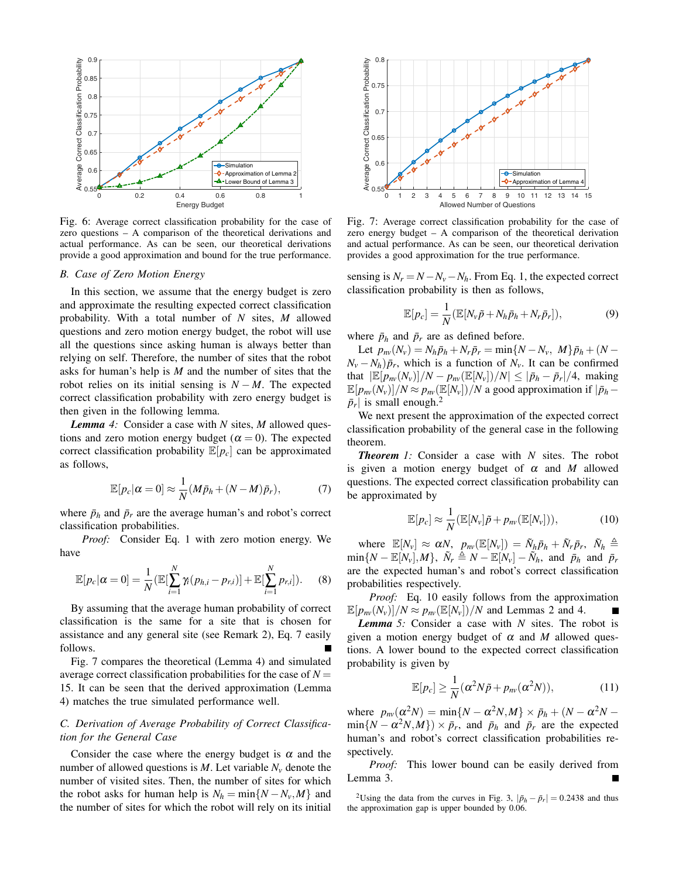

Fig. 6: Average correct classification probability for the case of zero questions  $- A$  comparison of the theoretical derivations and actual performance. As can be seen, our theoretical derivations provide a good approximation and bound for the true performance.

#### B. Case of Zero Motion Energy

In this section, we assume that the energy budget is zero and approximate the resulting expected correct classification probability. With a total number of  $N$  sites,  $M$  allowed questions and zero motion energy budget, the robot will use all the questions since asking human is always better than relying on self. Therefore, the number of sites that the robot asks for human's help is  $M$  and the number of sites that the robot relies on its initial sensing is  $N - M$ . The expected correct classification probability with zero energy budget is then given in the following lemma.

**Lemma** 4: Consider a case with N sites, M allowed questions and zero motion energy budget ( $\alpha = 0$ ). The expected correct classification probability  $\mathbb{E}[p_c]$  can be approximated as follows,

$$
\mathbb{E}[p_c|\alpha=0] \approx \frac{1}{N}(M\bar{p}_h + (N-M)\bar{p}_r),\tag{7}
$$

where  $\bar{p}_h$  and  $\bar{p}_r$  are the average human's and robot's correct classification probabilities.

Proof: Consider Eq. 1 with zero motion energy. We have

$$
\mathbb{E}[p_c|\alpha=0]=\frac{1}{N}(\mathbb{E}[\sum_{i=1}^N\gamma_i(p_{h,i}-p_{r,i})]+\mathbb{E}[\sum_{i=1}^N p_{r,i}]).
$$
 (8)

By assuming that the average human probability of correct classification is the same for a site that is chosen for assistance and any general site (see Remark 2), Eq. 7 easily follows.

Fig. 7 compares the theoretical (Lemma 4) and simulated average correct classification probabilities for the case of  $N =$ 15. It can be seen that the derived approximation (Lemma 4) matches the true simulated performance well.

## C. Derivation of Average Probability of Correct Classification for the General Case

Consider the case where the energy budget is  $\alpha$  and the number of allowed questions is M. Let variable  $N_v$  denote the number of visited sites. Then, the number of sites for which the robot asks for human help is  $N_h = \min\{N - N_v, M\}$  and the number of sites for which the robot will rely on its initial



Fig. 7: Average correct classification probability for the case of zero energy budget  $-$  A comparison of the theoretical derivation and actual performance. As can be seen, our theoretical derivation provides a good approximation for the true performance.

sensing is  $N_r = N - N_v - N_h$ . From Eq. 1, the expected correct classification probability is then as follows,

$$
\mathbb{E}[p_c] = \frac{1}{N} (\mathbb{E}[N_v\tilde{p} + N_h\bar{p}_h + N_r\bar{p}_r]),
$$
\n(9)

where  $\bar{p}_h$  and  $\bar{p}_r$  are as defined before.

Let  $p_{nv}(N_v) = N_h \bar{p}_h + N_r \bar{p}_r = \min\{N - N_v, M\} \bar{p}_h + (N N_v - N_h$ ) $\bar{p}_r$ , which is a function of  $N_v$ . It can be confirmed that  $|\mathbb{E}[p_{nv}(N_v)]/N - p_{nv}(\mathbb{E}[N_v])/N| \leq |\bar{p}_h - \bar{p}_r|/4$ , making  $\mathbb{E}[p_{nv}(N_v)]/N \approx p_{nv}(\mathbb{E}[N_v])/N$  a good approximation if  $|\bar{p}_h |\bar{p}_r|$  is small enough.<sup>2</sup>

We next present the approximation of the expected correct classification probability of the general case in the following theorem.

**Theorem** 1: Consider a case with  $N$  sites. The robot is given a motion energy budget of  $\alpha$  and M allowed questions. The expected correct classification probability can be approximated by

$$
\mathbb{E}[p_c] \approx \frac{1}{N} (\mathbb{E}[N_v] \tilde{p} + p_{nv} (\mathbb{E}[N_v])), \qquad (10)
$$

where  $\mathbb{E}[N_v] \approx \alpha N$ ,  $p_{nv}(\mathbb{E}[N_v]) = \tilde{N}_h \bar{p}_h + \tilde{N}_r \bar{p}_r$ ,  $\tilde{N}_h \triangleq$  $\min\{N - \mathbb{E}[N_{\nu}], M\}, \ \tilde{N}_r \triangleq N - \mathbb{E}[N_{\nu}] - \tilde{N}_h$ , and  $\bar{p}_h$  and  $\bar{p}_r$ are the expected human's and robot's correct classification probabilities respectively.

Proof: Eq. 10 easily follows from the approximation  $\mathbb{E}[p_{nv}(N_v)]/N \approx p_{nv}(\mathbb{E}[N_v])/N$  and Lemmas 2 and 4.

**Lemma** 5: Consider a case with  $N$  sites. The robot is given a motion energy budget of  $\alpha$  and M allowed questions. A lower bound to the expected correct classification probability is given by

$$
\mathbb{E}[p_c] \ge \frac{1}{N} (\alpha^2 N \tilde{p} + p_{nv} (\alpha^2 N)), \tag{11}
$$

where  $p_{nv}(\alpha^2 N) = \min\{N - \alpha^2 N, M\} \times \bar{p}_h + (N - \alpha^2 N \min\{N - \alpha^2 N, M\} \times \bar{p}_r$ , and  $\bar{p}_h$  and  $\bar{p}_r$  are the expected human's and robot's correct classification probabilities respectively.

This lower bound can be easily derived from Proof: Lemma 3.

<sup>2</sup>Using the data from the curves in Fig. 3,  $|\bar{p}_h - \bar{p}_r| = 0.2438$  and thus the approximation gap is upper bounded by 0.06.